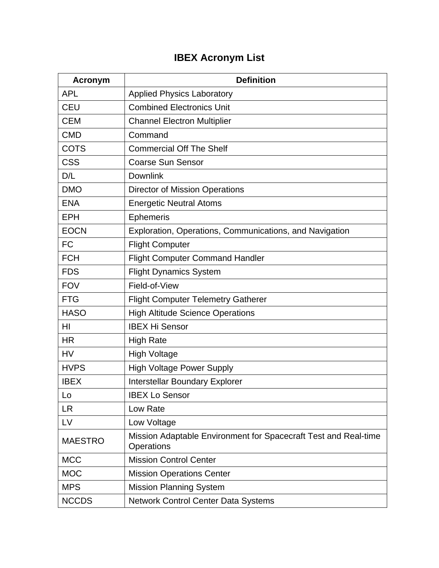## **IBEX Acronym List**

| <b>Acronym</b> | <b>Definition</b>                                                             |
|----------------|-------------------------------------------------------------------------------|
| <b>APL</b>     | <b>Applied Physics Laboratory</b>                                             |
| <b>CEU</b>     | <b>Combined Electronics Unit</b>                                              |
| <b>CEM</b>     | <b>Channel Electron Multiplier</b>                                            |
| <b>CMD</b>     | Command                                                                       |
| <b>COTS</b>    | <b>Commercial Off The Shelf</b>                                               |
| <b>CSS</b>     | <b>Coarse Sun Sensor</b>                                                      |
| D/L            | <b>Downlink</b>                                                               |
| <b>DMO</b>     | <b>Director of Mission Operations</b>                                         |
| <b>ENA</b>     | <b>Energetic Neutral Atoms</b>                                                |
| <b>EPH</b>     | <b>Ephemeris</b>                                                              |
| <b>EOCN</b>    | Exploration, Operations, Communications, and Navigation                       |
| <b>FC</b>      | <b>Flight Computer</b>                                                        |
| <b>FCH</b>     | <b>Flight Computer Command Handler</b>                                        |
| <b>FDS</b>     | <b>Flight Dynamics System</b>                                                 |
| <b>FOV</b>     | Field-of-View                                                                 |
| <b>FTG</b>     | <b>Flight Computer Telemetry Gatherer</b>                                     |
| <b>HASO</b>    | <b>High Altitude Science Operations</b>                                       |
| HI             | <b>IBEX Hi Sensor</b>                                                         |
| <b>HR</b>      | <b>High Rate</b>                                                              |
| <b>HV</b>      | <b>High Voltage</b>                                                           |
| <b>HVPS</b>    | <b>High Voltage Power Supply</b>                                              |
| <b>IBEX</b>    | Interstellar Boundary Explorer                                                |
| Lo             | <b>IBEX Lo Sensor</b>                                                         |
| <b>LR</b>      | Low Rate                                                                      |
| LV             | Low Voltage                                                                   |
| <b>MAESTRO</b> | Mission Adaptable Environment for Spacecraft Test and Real-time<br>Operations |
| <b>MCC</b>     | <b>Mission Control Center</b>                                                 |
| <b>MOC</b>     | <b>Mission Operations Center</b>                                              |
| <b>MPS</b>     | <b>Mission Planning System</b>                                                |
| <b>NCCDS</b>   | Network Control Center Data Systems                                           |